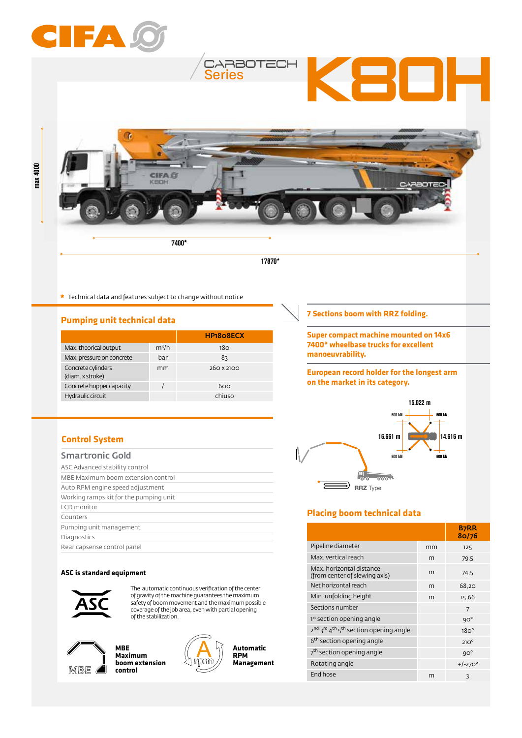

|                                        |         | <b>FIFIQUOELA</b> |
|----------------------------------------|---------|-------------------|
| Max. theorical output                  | $m^3/h$ | 180               |
| Max. pressure on concrete              | bar     | 83                |
| Concrete cylinders<br>(diam. x stroke) | mm      | 260 X 2100        |
| Concrete hopper capacity               |         | 600               |
| Hydraulic circuit                      |         | chiuso            |

**European record holder for the longest arm on the market in its category.**

**manoeuvrability.**



## **Placing boom technical data**

|                                                                                       |    | <b>B7RR</b><br>80/76 |
|---------------------------------------------------------------------------------------|----|----------------------|
| Pipeline diameter                                                                     | mm | 125                  |
| Max. vertical reach                                                                   | m  | 79.5                 |
| Max, horizontal distance<br>(from center of slewing axis)                             | m  | 74,5                 |
| Net horizontal reach                                                                  | m  | 68,20                |
| Min. unfolding height                                                                 | m  | 15.66                |
| Sections number                                                                       |    | 7                    |
| 1st section opening angle                                                             |    | $9O^{\circ}$         |
| 2 <sup>nd</sup> 3 <sup>rd</sup> 4 <sup>th</sup> 5 <sup>th</sup> section opening angle |    | 18O <sup>o</sup>     |
| 6 <sup>th</sup> section opening angle                                                 |    | $210^{\circ}$        |
| 7 <sup>th</sup> section opening angle                                                 |    | $9O^{\circ}$         |
| Rotating angle                                                                        |    | $+/-270^{\circ}$     |
| End hose                                                                              | m  | ξ                    |

# **Control System**

max 4000

| <b>Smartronic Gold</b>                 |
|----------------------------------------|
| ASC Advanced stability control         |
| MBE Maximum boom extension control     |
| Auto RPM engine speed adjustment       |
| Working ramps kit for the pumping unit |
| LCD monitor                            |
| Counters                               |
| Pumping unit management                |
| Diagnostics                            |
| Rear capsense control panel            |

#### **ASC is standard equipment**



The automatic continuous verification of the center of gravity of the machine guarantees the maximum safety of boom movement and the maximum possible coverage of the job area, even with partial opening of the stabilization.



**MBE Maximum boom extension control**



**Automatic RPM Management**